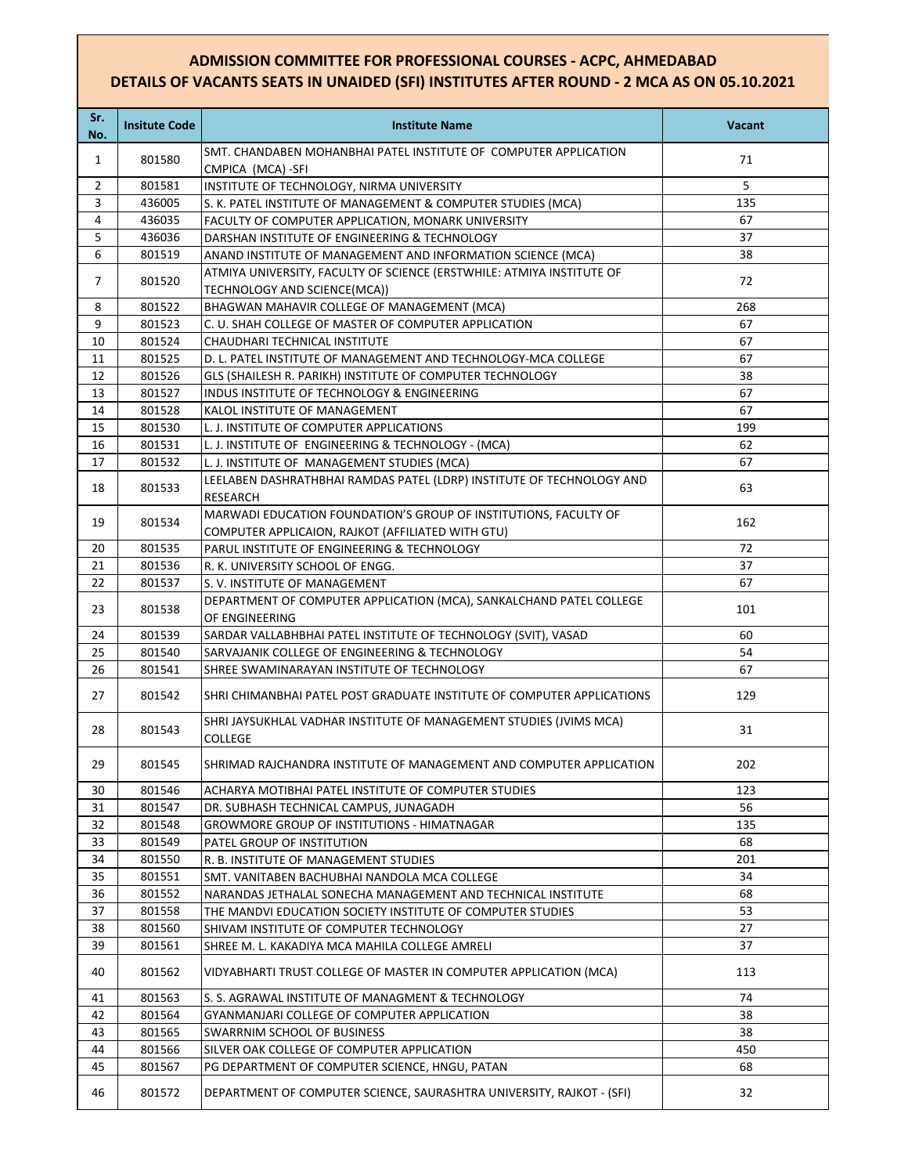## **ADMISSION COMMITTEE FOR PROFESSIONAL COURSES - ACPC, AHMEDABAD DETAILS OF VACANTS SEATS IN UNAIDED (SFI) INSTITUTES AFTER ROUND - 2 MCA AS ON 05.10.2021**

| Sr.<br>No.     | <b>Insitute Code</b> | <b>Institute Name</b>                                                                                                 | <b>Vacant</b> |
|----------------|----------------------|-----------------------------------------------------------------------------------------------------------------------|---------------|
| $\mathbf{1}$   | 801580               | SMT. CHANDABEN MOHANBHAI PATEL INSTITUTE OF COMPUTER APPLICATION<br>CMPICA (MCA)-SFI                                  | 71            |
| $\overline{2}$ | 801581               | INSTITUTE OF TECHNOLOGY, NIRMA UNIVERSITY                                                                             | 5             |
| 3              | 436005               | S. K. PATEL INSTITUTE OF MANAGEMENT & COMPUTER STUDIES (MCA)                                                          | 135           |
| 4              | 436035               | FACULTY OF COMPUTER APPLICATION, MONARK UNIVERSITY                                                                    | 67            |
| 5              | 436036               | DARSHAN INSTITUTE OF ENGINEERING & TECHNOLOGY                                                                         | 37            |
| 6              | 801519               | ANAND INSTITUTE OF MANAGEMENT AND INFORMATION SCIENCE (MCA)                                                           | 38            |
| $\overline{7}$ | 801520               | ATMIYA UNIVERSITY, FACULTY OF SCIENCE (ERSTWHILE: ATMIYA INSTITUTE OF<br>TECHNOLOGY AND SCIENCE(MCA))                 | 72            |
| 8              | 801522               | BHAGWAN MAHAVIR COLLEGE OF MANAGEMENT (MCA)                                                                           | 268           |
| 9              | 801523               | C. U. SHAH COLLEGE OF MASTER OF COMPUTER APPLICATION                                                                  | 67            |
| 10             | 801524               | CHAUDHARI TECHNICAL INSTITUTE                                                                                         | 67            |
| 11             | 801525               | D. L. PATEL INSTITUTE OF MANAGEMENT AND TECHNOLOGY-MCA COLLEGE                                                        | 67            |
| 12             | 801526               | GLS (SHAILESH R. PARIKH) INSTITUTE OF COMPUTER TECHNOLOGY                                                             | 38            |
| 13             | 801527               | INDUS INSTITUTE OF TECHNOLOGY & ENGINEERING                                                                           | 67            |
| 14             | 801528               | KALOL INSTITUTE OF MANAGEMENT                                                                                         | 67            |
| 15             | 801530               | L. J. INSTITUTE OF COMPUTER APPLICATIONS                                                                              | 199           |
| 16             | 801531               | L. J. INSTITUTE OF ENGINEERING & TECHNOLOGY - (MCA)                                                                   | 62            |
| 17             | 801532               | L. J. INSTITUTE OF MANAGEMENT STUDIES (MCA)                                                                           | 67            |
| 18             | 801533               | LEELABEN DASHRATHBHAI RAMDAS PATEL (LDRP) INSTITUTE OF TECHNOLOGY AND<br><b>RESEARCH</b>                              | 63            |
| 19             | 801534               | MARWADI EDUCATION FOUNDATION'S GROUP OF INSTITUTIONS, FACULTY OF<br>COMPUTER APPLICAION, RAJKOT (AFFILIATED WITH GTU) | 162           |
| 20             | 801535               | PARUL INSTITUTE OF ENGINEERING & TECHNOLOGY                                                                           | 72            |
| 21             | 801536               | R. K. UNIVERSITY SCHOOL OF ENGG.                                                                                      | 37            |
| 22             | 801537               | S. V. INSTITUTE OF MANAGEMENT                                                                                         | 67            |
| 23             | 801538               | DEPARTMENT OF COMPUTER APPLICATION (MCA), SANKALCHAND PATEL COLLEGE<br>OF ENGINEERING                                 | 101           |
| 24             | 801539               | SARDAR VALLABHBHAI PATEL INSTITUTE OF TECHNOLOGY (SVIT), VASAD                                                        | 60            |
| 25             | 801540               | SARVAJANIK COLLEGE OF ENGINEERING & TECHNOLOGY                                                                        | 54            |
| 26             | 801541               | SHREE SWAMINARAYAN INSTITUTE OF TECHNOLOGY                                                                            | 67            |
| 27             | 801542               | SHRI CHIMANBHAI PATEL POST GRADUATE INSTITUTE OF COMPUTER APPLICATIONS                                                | 129           |
| 28             | 801543               | SHRI JAYSUKHLAL VADHAR INSTITUTE OF MANAGEMENT STUDIES (JVIMS MCA)<br>COLLEGE                                         | 31            |
| 29             | 801545               | SHRIMAD RAJCHANDRA INSTITUTE OF MANAGEMENT AND COMPUTER APPLICATION                                                   | 202           |
| 30             | 801546               | ACHARYA MOTIBHAI PATEL INSTITUTE OF COMPUTER STUDIES                                                                  | 123           |
| 31             | 801547               | DR. SUBHASH TECHNICAL CAMPUS, JUNAGADH                                                                                | 56            |
| 32             | 801548               | GROWMORE GROUP OF INSTITUTIONS - HIMATNAGAR                                                                           | 135           |
| 33             | 801549               | PATEL GROUP OF INSTITUTION                                                                                            | 68            |
| 34             | 801550               | R. B. INSTITUTE OF MANAGEMENT STUDIES                                                                                 | 201           |
| 35             | 801551               | SMT. VANITABEN BACHUBHAI NANDOLA MCA COLLEGE                                                                          | 34            |
| 36             | 801552               | NARANDAS JETHALAL SONECHA MANAGEMENT AND TECHNICAL INSTITUTE                                                          | 68            |
| 37             | 801558               | THE MANDVI EDUCATION SOCIETY INSTITUTE OF COMPUTER STUDIES                                                            | 53            |
| 38             | 801560               | SHIVAM INSTITUTE OF COMPUTER TECHNOLOGY                                                                               | 27            |
| 39             | 801561               | SHREE M. L. KAKADIYA MCA MAHILA COLLEGE AMRELI                                                                        | 37            |
| 40             | 801562               | VIDYABHARTI TRUST COLLEGE OF MASTER IN COMPUTER APPLICATION (MCA)                                                     | 113           |
| 41             | 801563               | S. S. AGRAWAL INSTITUTE OF MANAGMENT & TECHNOLOGY                                                                     | 74            |
| 42             | 801564               | GYANMANJARI COLLEGE OF COMPUTER APPLICATION                                                                           | 38            |
| 43             | 801565               | SWARRNIM SCHOOL OF BUSINESS                                                                                           | 38            |
| 44             | 801566               | SILVER OAK COLLEGE OF COMPUTER APPLICATION                                                                            | 450           |
| 45             | 801567               | PG DEPARTMENT OF COMPUTER SCIENCE, HNGU, PATAN                                                                        | 68            |
| 46             | 801572               | DEPARTMENT OF COMPUTER SCIENCE, SAURASHTRA UNIVERSITY, RAJKOT - (SFI)                                                 | 32            |